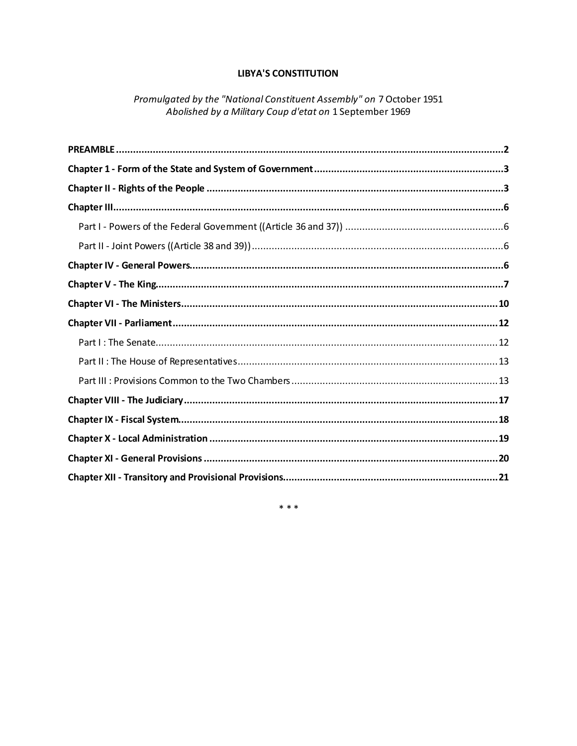# **LIBYA'S CONSTITUTION**

Promulgated by the "National Constituent Assembly" on 7 October 1951 Abolished by a Military Coup d'etat on 1 September 1969

 $* * *$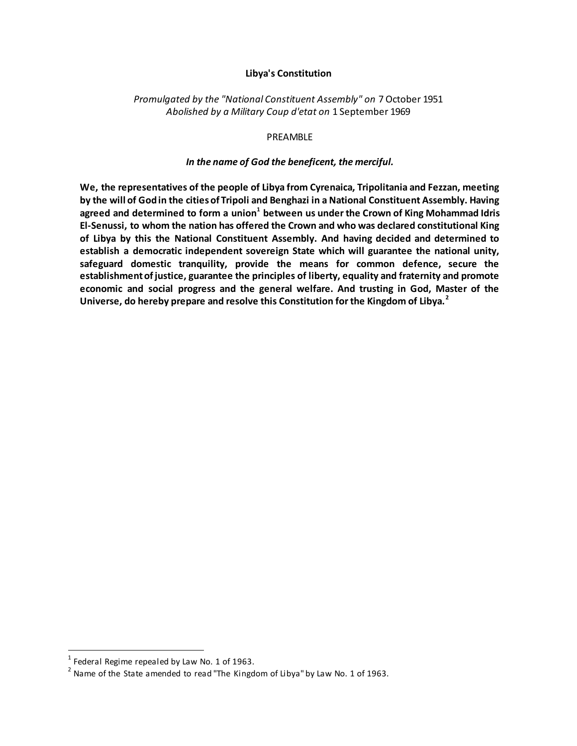#### **Libya's Constitution**

## *Promulgated by the "National Constituent Assembly" on* 7 October 1951 *Abolished by a Military Coup d'etat on* 1 September 1969

#### PREAMBLE

#### *In the name of God the beneficent, the merciful.*

<span id="page-1-0"></span>**We, the representatives of the people of Libya from Cyrenaica, Tripolitania and Fezzan, meeting by the will of God in the cities of Tripoli and Benghazi in a National Constituent Assembly. Having agreed and determined to form a union<sup>1</sup> between us under the Crown of King Mohammad Idris El-Senussi, to whom the nation has offered the Crown and who was declared constitutional King of Libya by this the National Constituent Assembly. And having decided and determined to establish a democratic independent sovereign State which will guarantee the national unity, safeguard domestic tranquility, provide the means for common defence, secure the establishment of justice, guarantee the principles of liberty, equality and fraternity and promote economic and social progress and the general welfare. And trusting in God, Master of the Universe, do hereby prepare and resolve this Constitution for the Kingdom of Libya.<sup>2</sup>**

 1 Federal Regime repealed by Law No. 1 of 1963.

 $^{2}$  Name of the State amended to read "The Kingdom of Libya" by Law No. 1 of 1963.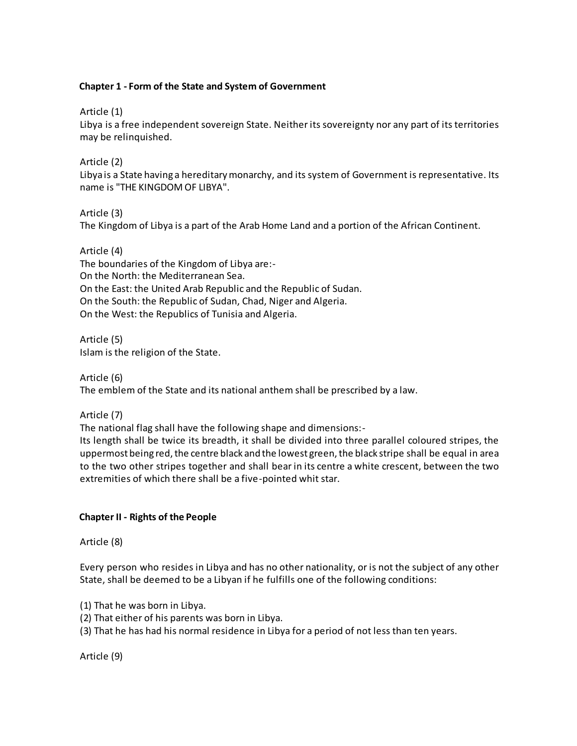## <span id="page-2-0"></span>**Chapter 1 - Form of the State and System of Government**

Article (1)

Libya is a free independent sovereign State. Neither its sovereignty nor any part of its territories may be relinquished.

Article (2)

Libya is a State having a hereditary monarchy, and its system of Government is representative. Its name is "THE KINGDOM OF LIBYA".

Article (3)

The Kingdom of Libya is a part of the Arab Home Land and a portion of the African Continent.

Article (4) The boundaries of the Kingdom of Libya are:- On the North: the Mediterranean Sea. On the East: the United Arab Republic and the Republic of Sudan. On the South: the Republic of Sudan, Chad, Niger and Algeria. On the West: the Republics of Tunisia and Algeria.

Article (5) Islam is the religion of the State.

Article (6)

The emblem of the State and its national anthem shall be prescribed by a law.

Article (7)

The national flag shall have the following shape and dimensions:-

Its length shall be twice its breadth, it shall be divided into three parallel coloured stripes, the uppermost being red, the centre black and the lowest green, the black stripe shall be equal in area to the two other stripes together and shall bear in its centre a white crescent, between the two extremities of which there shall be a five-pointed whit star.

# <span id="page-2-1"></span>**Chapter II - Rights of the People**

Article (8)

Every person who resides in Libya and has no other nationality, or is not the subject of any other State, shall be deemed to be a Libyan if he fulfills one of the following conditions:

(1) That he was born in Libya.

(2) That either of his parents was born in Libya.

(3) That he has had his normal residence in Libya for a period of not less than ten years.

Article (9)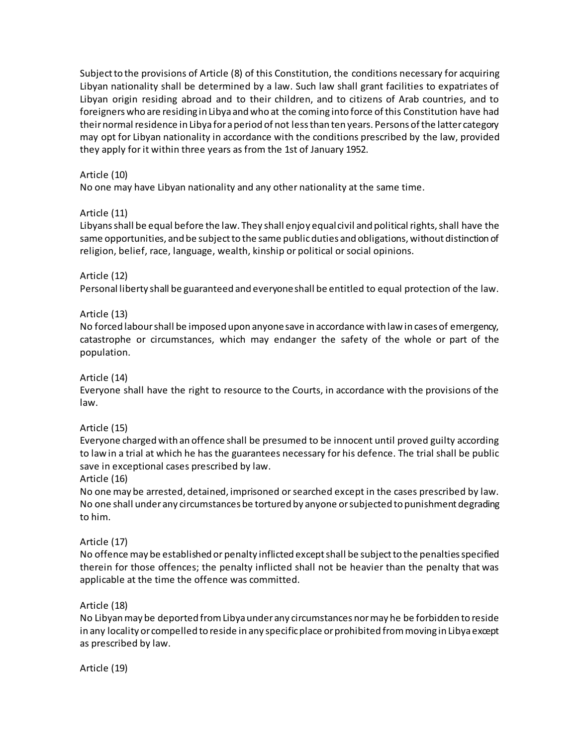Subject to the provisions of Article (8) of this Constitution, the conditions necessary for acquiring Libyan nationality shall be determined by a law. Such law shall grant facilities to expatriates of Libyan origin residing abroad and to their children, and to citizens of Arab countries, and to foreigners who are residing in Libya and who at the coming into force of this Constitution have had their normal residence in Libya for a period of not less than ten years. Persons of the latter category may opt for Libyan nationality in accordance with the conditions prescribed by the law, provided they apply for it within three years as from the 1st of January 1952.

# Article (10)

No one may have Libyan nationality and any other nationality at the same time.

## Article (11)

Libyans shall be equal before the law. They shall enjoy equal civil and political rights, shall have the same opportunities, and be subject to the same public duties and obligations, without distinction of religion, belief, race, language, wealth, kinship or political or social opinions.

## Article (12)

Personal liberty shall be guaranteed and everyone shall be entitled to equal protection of the law.

## Article (13)

No forced labour shall be imposed upon anyone save in accordance with law in cases of emergency, catastrophe or circumstances, which may endanger the safety of the whole or part of the population.

### Article (14)

Everyone shall have the right to resource to the Courts, in accordance with the provisions of the law.

#### Article (15)

Everyone charged with an offence shall be presumed to be innocent until proved guilty according to law in a trial at which he has the guarantees necessary for his defence. The trial shall be public save in exceptional cases prescribed by law.

#### Article (16)

No one may be arrested, detained, imprisoned or searched except in the cases prescribed by law. No one shall under any circumstances be tortured by anyone or subjected to punishment degrading to him.

#### Article (17)

No offence may be established or penalty inflicted except shall be subject to the penalties specified therein for those offences; the penalty inflicted shall not be heavier than the penalty that was applicable at the time the offence was committed.

#### Article (18)

No Libyan may be deported from Libya under any circumstances nor may he be forbidden to reside in any locality or compelled to reside in any specific place or prohibited from moving in Libya except as prescribed by law.

Article (19)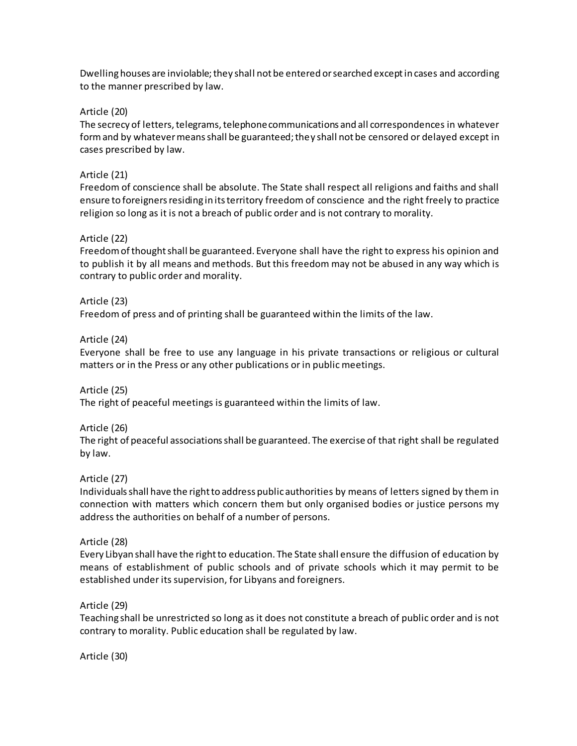Dwelling houses are inviolable; they shall not be entered or searched except in cases and according to the manner prescribed by law.

### Article (20)

The secrecy of letters, telegrams, telephone communications and all correspondences in whatever form and by whatever means shall be guaranteed; they shall not be censored or delayed except in cases prescribed by law.

## Article (21)

Freedom of conscience shall be absolute. The State shall respect all religions and faiths and shall ensure to foreigners residing in its territory freedom of conscience and the right freely to practice religion so long as it is not a breach of public order and is not contrary to morality.

## Article (22)

Freedom of thought shall be guaranteed. Everyone shall have the right to express his opinion and to publish it by all means and methods. But this freedom may not be abused in any way which is contrary to public order and morality.

## Article (23)

Freedom of press and of printing shall be guaranteed within the limits of the law.

#### Article (24)

Everyone shall be free to use any language in his private transactions or religious or cultural matters or in the Press or any other publications or in public meetings.

#### Article (25)

The right of peaceful meetings is guaranteed within the limits of law.

#### Article (26)

The right of peaceful associations shall be guaranteed. The exercise of that right shall be regulated by law.

#### Article (27)

Individuals shall have the right to address public authorities by means of letters signed by them in connection with matters which concern them but only organised bodies or justice persons my address the authorities on behalf of a number of persons.

#### Article (28)

Every Libyan shall have the right to education. The State shall ensure the diffusion of education by means of establishment of public schools and of private schools which it may permit to be established under its supervision, for Libyans and foreigners.

#### Article (29)

Teaching shall be unrestricted so long as it does not constitute a breach of public order and is not contrary to morality. Public education shall be regulated by law.

Article (30)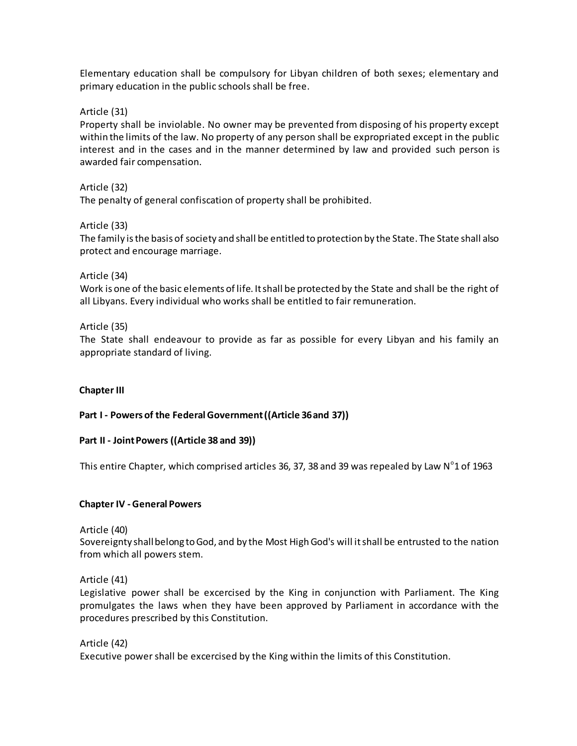Elementary education shall be compulsory for Libyan children of both sexes; elementary and primary education in the public schools shall be free.

Article (31)

Property shall be inviolable. No owner may be prevented from disposing of his property except within the limits of the law. No property of any person shall be expropriated except in the public interest and in the cases and in the manner determined by law and provided such person is awarded fair compensation.

Article (32) The penalty of general confiscation of property shall be prohibited.

Article (33)

The family is the basis of society and shall be entitled to protection by the State. The State shall also protect and encourage marriage.

Article (34)

Work is one of the basic elements of life. It shall be protected by the State and shall be the right of all Libyans. Every individual who works shall be entitled to fair remuneration.

Article (35)

The State shall endeavour to provide as far as possible for every Libyan and his family an appropriate standard of living.

<span id="page-5-0"></span>**Chapter III** 

<span id="page-5-1"></span>**Part I - Powers of the Federal Government ((Article 36 and 37))**

#### <span id="page-5-2"></span>**Part II - Joint Powers ((Article 38 and 39))**

This entire Chapter, which comprised articles 36, 37, 38 and 39 was repealed by Law  $N^{\circ}$ 1 of 1963

#### <span id="page-5-3"></span>**Chapter IV - General Powers**

Article (40)

Sovereignty shall belong to God, and by the Most High God's will it shall be entrusted to the nation from which all powers stem.

Article (41)

Legislative power shall be excercised by the King in conjunction with Parliament. The King promulgates the laws when they have been approved by Parliament in accordance with the procedures prescribed by this Constitution.

Article (42) Executive power shall be excercised by the King within the limits of this Constitution.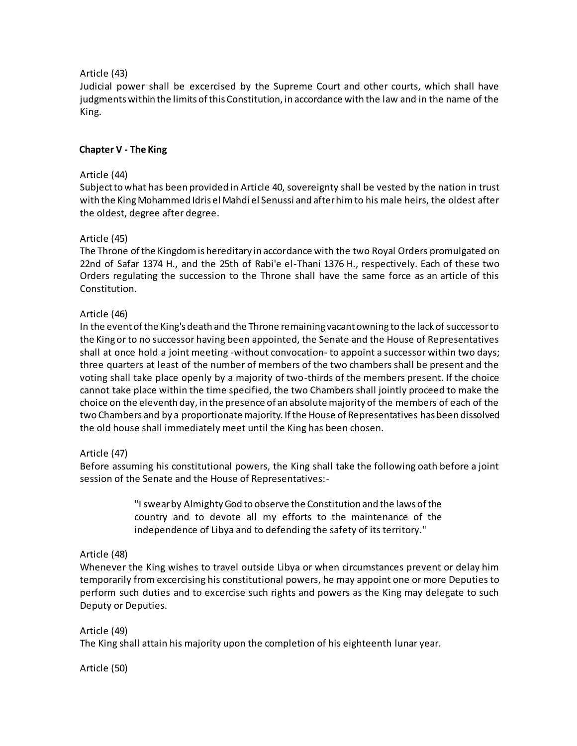## Article (43)

Judicial power shall be excercised by the Supreme Court and other courts, which shall have judgments within the limits of this Constitution, in accordance with the law and in the name of the King.

## <span id="page-6-0"></span>**Chapter V - The King**

### Article (44)

Subject to what has been provided in Article 40, sovereignty shall be vested by the nation in trust with the King Mohammed Idris el Mahdi el Senussi and after him to his male heirs, the oldest after the oldest, degree after degree.

#### Article (45)

The Throne of the Kingdom is hereditary in accordance with the two Royal Orders promulgated on 22nd of Safar 1374 H., and the 25th of Rabi'e el-Thani 1376 H., respectively. Each of these two Orders regulating the succession to the Throne shall have the same force as an article of this Constitution.

## Article (46)

In the event of the King's death and the Throne remaining vacant owning to the lack of successor to the King or to no successor having been appointed, the Senate and the House of Representatives shall at once hold a joint meeting -without convocation- to appoint a successor within two days; three quarters at least of the number of members of the two chambers shall be present and the voting shall take place openly by a majority of two-thirds of the members present. If the choice cannot take place within the time specified, the two Chambers shall jointly proceed to make the choice on the eleventh day, in the presence of an absolute majority of the members of each of the two Chambers and by a proportionate majority. If the House of Representatives has been dissolved the old house shall immediately meet until the King has been chosen.

#### Article (47)

Before assuming his constitutional powers, the King shall take the following oath before a joint session of the Senate and the House of Representatives:-

> "I swear by Almighty God to observe the Constitution and the laws of the country and to devote all my efforts to the maintenance of the independence of Libya and to defending the safety of its territory."

#### Article (48)

Whenever the King wishes to travel outside Libya or when circumstances prevent or delay him temporarily from excercising his constitutional powers, he may appoint one or more Deputies to perform such duties and to excercise such rights and powers as the King may delegate to such Deputy or Deputies.

#### Article (49)

The King shall attain his majority upon the completion of his eighteenth lunar year.

Article (50)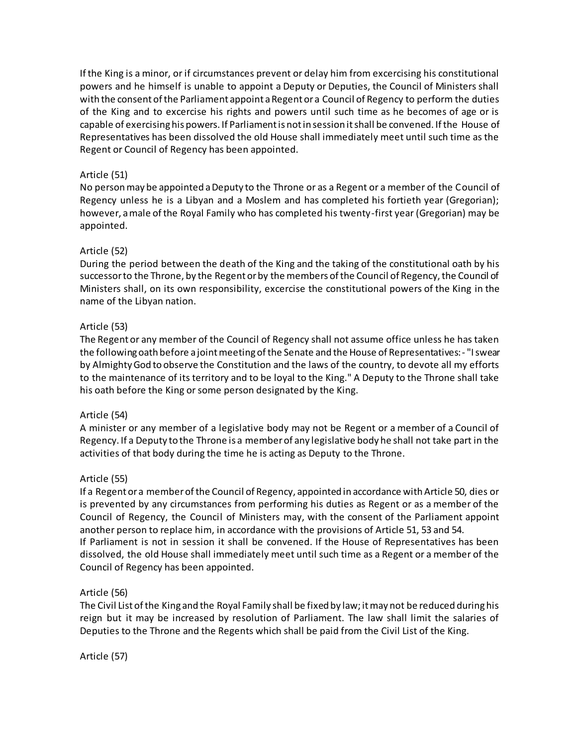If the King is a minor, or if circumstances prevent or delay him from excercising his constitutional powers and he himself is unable to appoint a Deputy or Deputies, the Council of Ministers shall with the consent of the Parliament appoint a Regent or a Council of Regency to perform the duties of the King and to excercise his rights and powers until such time as he becomes of age or is capable of exercising his powers. If Parliament is not in session it shall be convened. If the House of Representatives has been dissolved the old House shall immediately meet until such time as the Regent or Council of Regency has been appointed.

## Article (51)

No person may be appointed a Deputy to the Throne or as a Regent or a member of the Council of Regency unless he is a Libyan and a Moslem and has completed his fortieth year (Gregorian); however, a male of the Royal Family who has completed his twenty-first year (Gregorian) may be appointed.

## Article (52)

During the period between the death of the King and the taking of the constitutional oath by his successor to the Throne, by the Regent or by the members of the Council of Regency, the Council of Ministers shall, on its own responsibility, excercise the constitutional powers of the King in the name of the Libyan nation.

## Article (53)

The Regent or any member of the Council of Regency shall not assume office unless he has taken the following oath before a joint meeting of the Senate and the House of Representatives:- "I swear by Almighty God to observe the Constitution and the laws of the country, to devote all my efforts to the maintenance of its territory and to be loyal to the King." A Deputy to the Throne shall take his oath before the King or some person designated by the King.

#### Article (54)

A minister or any member of a legislative body may not be Regent or a member of a Council of Regency. If a Deputy to the Throne is a member of any legislative body he shall not take part in the activities of that body during the time he is acting as Deputy to the Throne.

#### Article (55)

If a Regent or a member of the Council of Regency, appointed in accordance with Article 50, dies or is prevented by any circumstances from performing his duties as Regent or as a member of the Council of Regency, the Council of Ministers may, with the consent of the Parliament appoint another person to replace him, in accordance with the provisions of Article 51, 53 and 54. If Parliament is not in session it shall be convened. If the House of Representatives has been dissolved, the old House shall immediately meet until such time as a Regent or a member of the Council of Regency has been appointed.

#### Article (56)

The Civil List of the King and the Royal Family shall be fixed by law; it may not be reduced during his reign but it may be increased by resolution of Parliament. The law shall limit the salaries of Deputies to the Throne and the Regents which shall be paid from the Civil List of the King.

Article (57)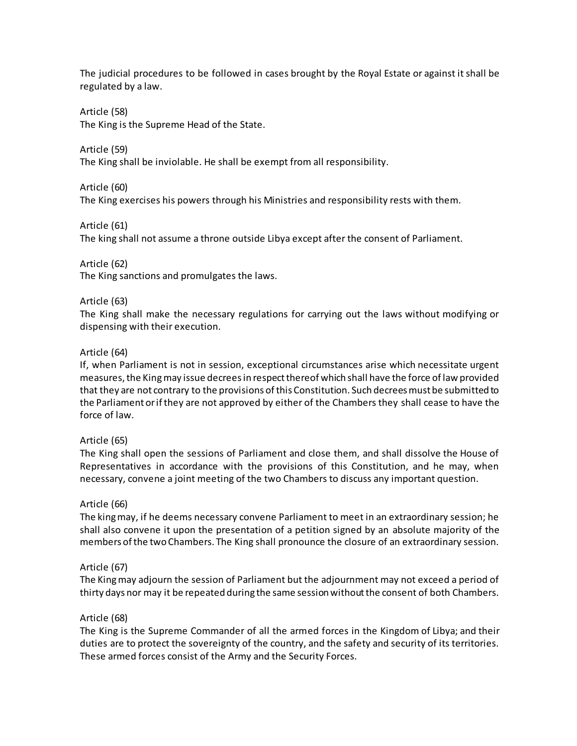The judicial procedures to be followed in cases brought by the Royal Estate or against it shall be regulated by a law.

Article (58) The King is the Supreme Head of the State.

Article (59) The King shall be inviolable. He shall be exempt from all responsibility.

Article (60) The King exercises his powers through his Ministries and responsibility rests with them.

Article (61) The king shall not assume a throne outside Libya except after the consent of Parliament.

Article (62) The King sanctions and promulgates the laws.

# Article (63)

The King shall make the necessary regulations for carrying out the laws without modifying or dispensing with their execution.

## Article (64)

If, when Parliament is not in session, exceptional circumstances arise which necessitate urgent measures, the King may issue decrees in respect thereof which shall have the force of law provided that they are not contrary to the provisions of this Constitution. Such decrees must be submitted to the Parliament or if they are not approved by either of the Chambers they shall cease to have the force of law.

#### Article (65)

The King shall open the sessions of Parliament and close them, and shall dissolve the House of Representatives in accordance with the provisions of this Constitution, and he may, when necessary, convene a joint meeting of the two Chambers to discuss any important question.

#### Article (66)

The king may, if he deems necessary convene Parliament to meet in an extraordinary session; he shall also convene it upon the presentation of a petition signed by an absolute majority of the members of the two Chambers. The King shall pronounce the closure of an extraordinary session.

#### Article (67)

The King may adjourn the session of Parliament but the adjournment may not exceed a period of thirty days nor may it be repeated during the same session without the consent of both Chambers.

#### Article (68)

The King is the Supreme Commander of all the armed forces in the Kingdom of Libya; and their duties are to protect the sovereignty of the country, and the safety and security of its territories. These armed forces consist of the Army and the Security Forces.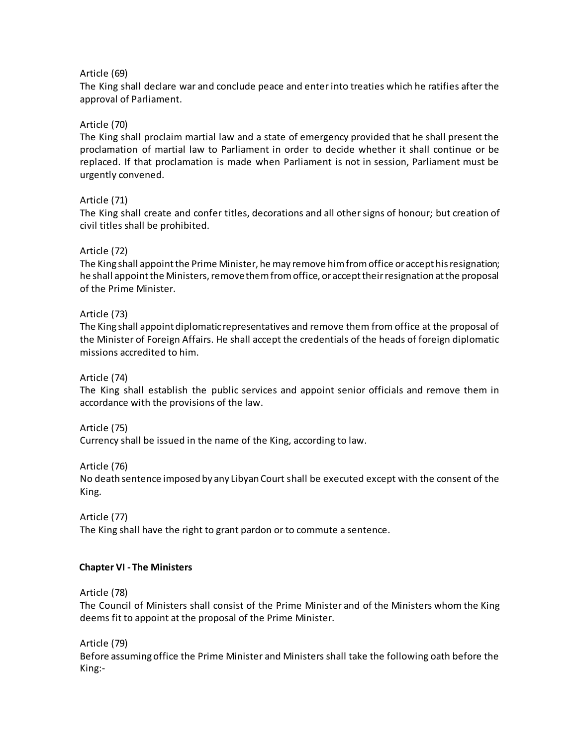### Article (69)

The King shall declare war and conclude peace and enter into treaties which he ratifies after the approval of Parliament.

## Article (70)

The King shall proclaim martial law and a state of emergency provided that he shall present the proclamation of martial law to Parliament in order to decide whether it shall continue or be replaced. If that proclamation is made when Parliament is not in session, Parliament must be urgently convened.

## Article (71)

The King shall create and confer titles, decorations and all other signs of honour; but creation of civil titles shall be prohibited.

## Article (72)

The King shall appoint the Prime Minister, he may remove him from office or accept his resignation; he shall appoint the Ministers, remove them from office, or accept their resignation at the proposal of the Prime Minister.

#### Article (73)

The King shall appoint diplomatic representatives and remove them from office at the proposal of the Minister of Foreign Affairs. He shall accept the credentials of the heads of foreign diplomatic missions accredited to him.

#### Article (74)

The King shall establish the public services and appoint senior officials and remove them in accordance with the provisions of the law.

#### Article (75)

Currency shall be issued in the name of the King, according to law.

#### Article (76)

No death sentence imposed by any Libyan Court shall be executed except with the consent of the King.

#### Article (77)

The King shall have the right to grant pardon or to commute a sentence.

#### <span id="page-9-0"></span>**Chapter VI - The Ministers**

Article (78)

The Council of Ministers shall consist of the Prime Minister and of the Ministers whom the King deems fit to appoint at the proposal of the Prime Minister.

Article (79)

Before assuming office the Prime Minister and Ministers shall take the following oath before the King:-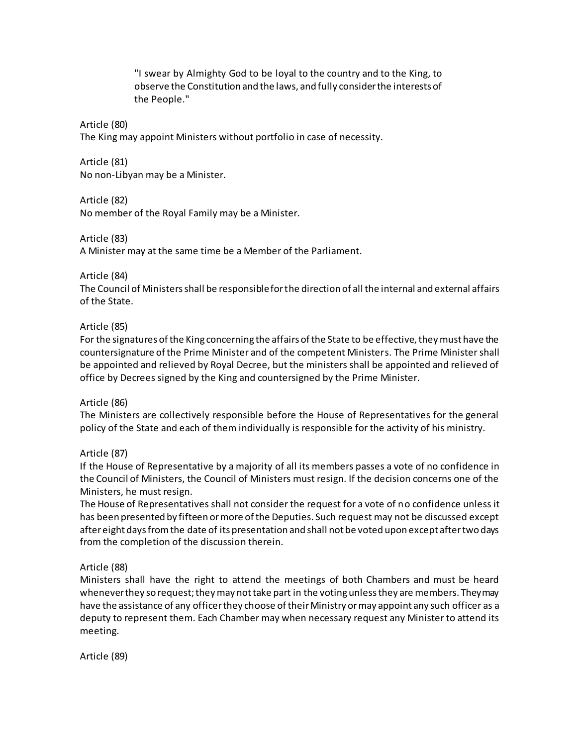"I swear by Almighty God to be loyal to the country and to the King, to observe the Constitution and the laws, and fully consider the interests of the People."

#### Article (80)

The King may appoint Ministers without portfolio in case of necessity.

Article (81) No non-Libyan may be a Minister.

Article (82)

No member of the Royal Family may be a Minister.

Article (83)

A Minister may at the same time be a Member of the Parliament.

Article (84)

The Council of Ministers shall be responsible for the direction of all the internal and external affairs of the State.

## Article (85)

For the signatures of the King concerning the affairs of the State to be effective, they must have the countersignature of the Prime Minister and of the competent Ministers. The Prime Minister shall be appointed and relieved by Royal Decree, but the ministers shall be appointed and relieved of office by Decrees signed by the King and countersigned by the Prime Minister.

#### Article (86)

The Ministers are collectively responsible before the House of Representatives for the general policy of the State and each of them individually is responsible for the activity of his ministry.

# Article (87)

If the House of Representative by a majority of all its members passes a vote of no confidence in the Council of Ministers, the Council of Ministers must resign. If the decision concerns one of the Ministers, he must resign.

The House of Representatives shall not consider the request for a vote of no confidence unless it has been presented by fifteen or more of the Deputies. Such request may not be discussed except after eight days from the date of its presentation and shall not be voted upon except after two days from the completion of the discussion therein.

# Article (88)

Ministers shall have the right to attend the meetings of both Chambers and must be heard whenever they so request; they may not take part in the voting unless they are members. They may have the assistance of any officer they choose of their Ministry or may appoint any such officer as a deputy to represent them. Each Chamber may when necessary request any Minister to attend its meeting.

Article (89)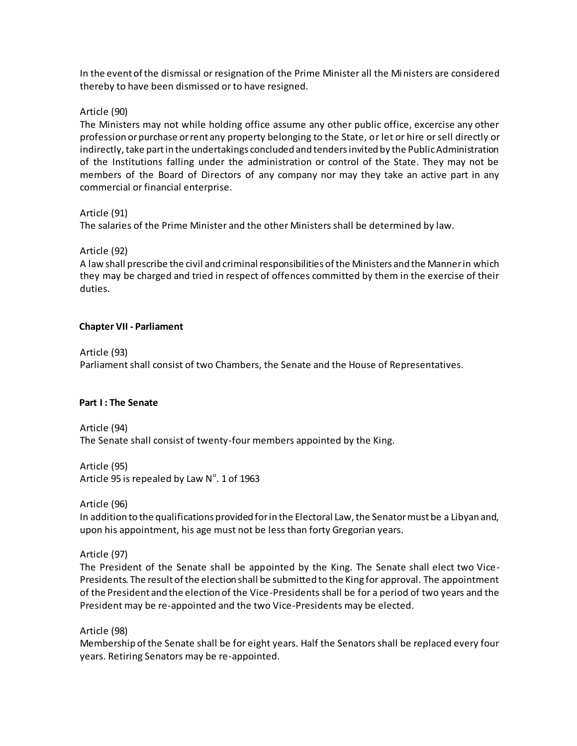In the event of the dismissal or resignation of the Prime Minister all the Ministers are considered thereby to have been dismissed or to have resigned.

### Article (90)

The Ministers may not while holding office assume any other public office, excercise any other profession or purchase or rent any property belonging to the State, or let or hire or sell directly or indirectly, take part in the undertakings concluded and tenders invited by the Public Administration of the Institutions falling under the administration or control of the State. They may not be members of the Board of Directors of any company nor may they take an active part in any commercial or financial enterprise.

## Article (91)

The salaries of the Prime Minister and the other Ministers shall be determined by law.

## Article (92)

A law shall prescribe the civil and criminal responsibilities of the Ministers and the Manner in which they may be charged and tried in respect of offences committed by them in the exercise of their duties.

## <span id="page-11-0"></span>**Chapter VII - Parliament**

#### Article (93)

Parliament shall consist of two Chambers, the Senate and the House of Representatives.

#### <span id="page-11-1"></span>**Part I : The Senate**

Article (94) The Senate shall consist of twenty-four members appointed by the King.

Article (95) Article 95 is repealed by Law  $N^{\circ}$ . 1 of 1963

Article (96)

In addition to the qualifications provided for in the Electoral Law, the Senator must be a Libyan and, upon his appointment, his age must not be less than forty Gregorian years.

# Article (97)

The President of the Senate shall be appointed by the King. The Senate shall elect two Vice-Presidents. The result of the election shall be submitted to the King for approval. The appointment of the President and the election of the Vice-Presidents shall be for a period of two years and the President may be re-appointed and the two Vice-Presidents may be elected.

Article (98)

Membership of the Senate shall be for eight years. Half the Senators shall be replaced every four years. Retiring Senators may be re-appointed.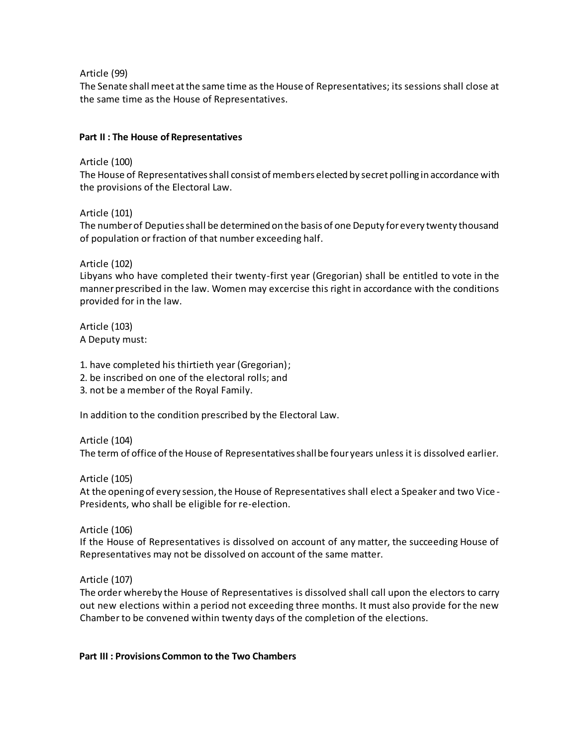Article (99)

The Senate shall meet at the same time as the House of Representatives; its sessions shall close at the same time as the House of Representatives.

# <span id="page-12-0"></span>**Part II : The House of Representatives**

Article (100)

The House of Representatives shall consist of members elected by secret polling in accordance with the provisions of the Electoral Law.

Article (101)

The number of Deputies shall be determined on the basis of one Deputy for every twenty thousand of population or fraction of that number exceeding half.

Article (102)

Libyans who have completed their twenty-first year (Gregorian) shall be entitled to vote in the manner prescribed in the law. Women may excercise this right in accordance with the conditions provided for in the law.

Article (103) A Deputy must:

- 1. have completed his thirtieth year (Gregorian);
- 2. be inscribed on one of the electoral rolls; and
- 3. not be a member of the Royal Family.

In addition to the condition prescribed by the Electoral Law.

Article (104)

The term of office of the House of Representatives shall be four years unless it is dissolved earlier.

Article (105)

At the opening of every session, the House of Representatives shall elect a Speaker and two Vice - Presidents, who shall be eligible for re-election.

Article (106)

If the House of Representatives is dissolved on account of any matter, the succeeding House of Representatives may not be dissolved on account of the same matter.

Article (107)

The order whereby the House of Representatives is dissolved shall call upon the electors to carry out new elections within a period not exceeding three months. It must also provide for the new Chamber to be convened within twenty days of the completion of the elections.

#### <span id="page-12-1"></span>**Part III : Provisions Common to the Two Chambers**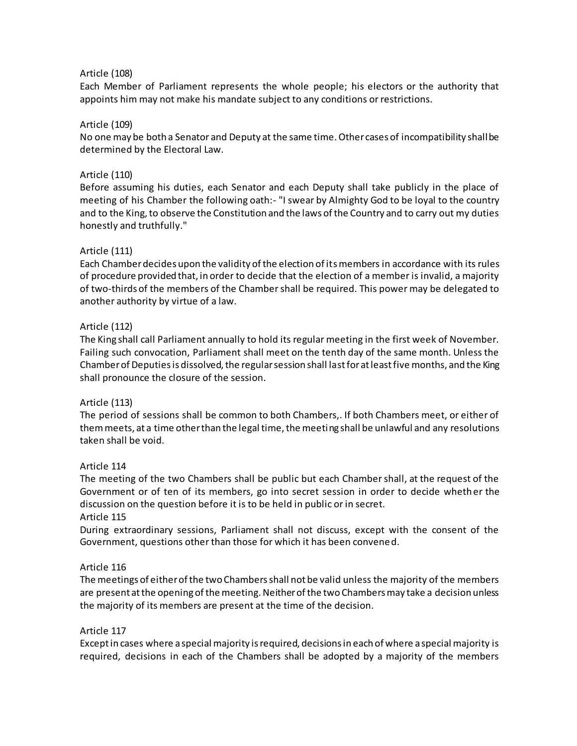### Article (108)

Each Member of Parliament represents the whole people; his electors or the authority that appoints him may not make his mandate subject to any conditions or restrictions.

#### Article (109)

No one may be both a Senator and Deputy at the same time. Other cases of incompatibility shall be determined by the Electoral Law.

#### Article (110)

Before assuming his duties, each Senator and each Deputy shall take publicly in the place of meeting of his Chamber the following oath:- "I swear by Almighty God to be loyal to the country and to the King, to observe the Constitution and the laws of the Country and to carry out my duties honestly and truthfully."

#### Article (111)

Each Chamber decides upon the validity of the election of its members in accordance with its rules of procedure provided that, in order to decide that the election of a member is invalid, a majority of two-thirds of the members of the Chamber shall be required. This power may be delegated to another authority by virtue of a law.

#### Article (112)

The King shall call Parliament annually to hold its regular meeting in the first week of November. Failing such convocation, Parliament shall meet on the tenth day of the same month. Unless the Chamber of Deputies is dissolved, the regular session shall last for at least five months, and the King shall pronounce the closure of the session.

#### Article (113)

The period of sessions shall be common to both Chambers,. If both Chambers meet, or either of them meets, at a time other than the legal time, the meeting shall be unlawful and any resolutions taken shall be void.

#### Article 114

The meeting of the two Chambers shall be public but each Chamber shall, at the request of the Government or of ten of its members, go into secret session in order to decide whether the discussion on the question before it is to be held in public or in secret.

#### Article 115

During extraordinary sessions, Parliament shall not discuss, except with the consent of the Government, questions other than those for which it has been convened.

#### Article 116

The meetings of either of the two Chambers shall not be valid unless the majority of the members are present at the opening of the meeting. Neither of the two Chambers may take a decision unless the majority of its members are present at the time of the decision.

#### Article 117

Except in cases where a special majority is required, decisions in each of where a special majority is required, decisions in each of the Chambers shall be adopted by a majority of the members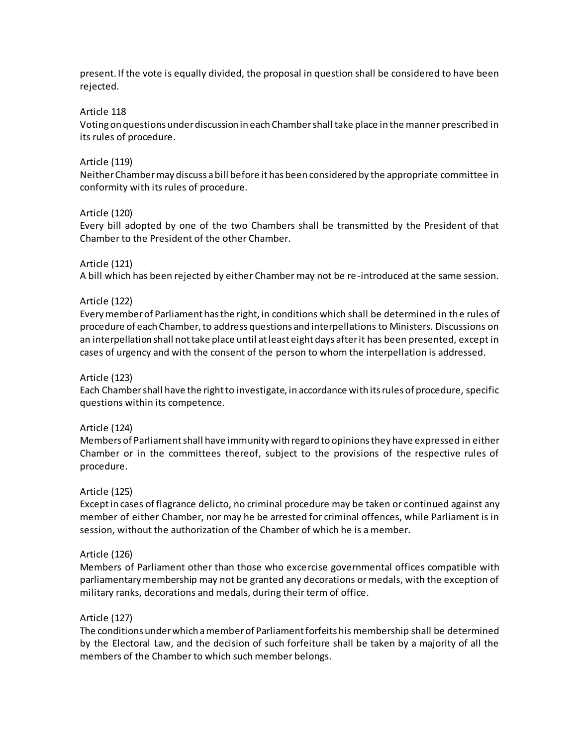present. If the vote is equally divided, the proposal in question shall be considered to have been rejected.

#### Article 118

Voting on questions under discussion in each Chamber shall take place in the manner prescribed in its rules of procedure.

### Article (119)

Neither Chamber may discuss a bill before it has been considered by the appropriate committee in conformity with its rules of procedure.

#### Article (120)

Every bill adopted by one of the two Chambers shall be transmitted by the President of that Chamber to the President of the other Chamber.

## Article (121)

A bill which has been rejected by either Chamber may not be re-introduced at the same session.

## Article (122)

Every member of Parliament has the right, in conditions which shall be determined in the rules of procedure of each Chamber, to address questions and interpellations to Ministers. Discussions on an interpellation shall not take place until at least eight days after it has been presented, except in cases of urgency and with the consent of the person to whom the interpellation is addressed.

#### Article (123)

Each Chamber shall have the right to investigate, in accordance with its rules of procedure, specific questions within its competence.

#### Article (124)

Members of Parliament shall have immunity with regard to opinions they have expressed in either Chamber or in the committees thereof, subject to the provisions of the respective rules of procedure.

#### Article (125)

Except in cases of flagrance delicto, no criminal procedure may be taken or continued against any member of either Chamber, nor may he be arrested for criminal offences, while Parliament is in session, without the authorization of the Chamber of which he is a member.

#### Article (126)

Members of Parliament other than those who excercise governmental offices compatible with parliamentary membership may not be granted any decorations or medals, with the exception of military ranks, decorations and medals, during their term of office.

#### Article (127)

The conditions under which a member of Parliament forfeits his membership shall be determined by the Electoral Law, and the decision of such forfeiture shall be taken by a majority of all the members of the Chamber to which such member belongs.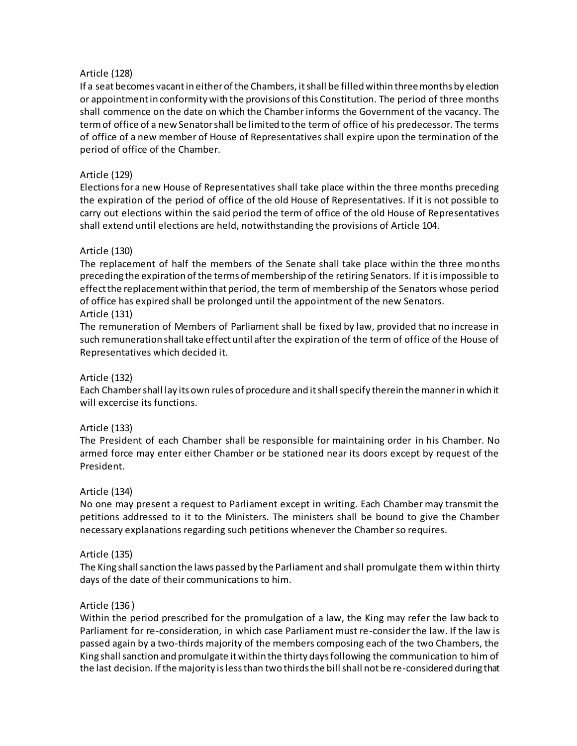## Article (128)

If a seat becomes vacant in either of the Chambers, it shall be filled within three months by election or appointment in conformity with the provisions of this Constitution. The period of three months shall commence on the date on which the Chamber informs the Government of the vacancy. The term of office of a new Senator shall be limited to the term of office of his predecessor. The terms of office of a new member of House of Representatives shall expire upon the termination of the period of office of the Chamber.

## Article (129)

Elections for a new House of Representatives shall take place within the three months preceding the expiration of the period of office of the old House of Representatives. If it is not possible to carry out elections within the said period the term of office of the old House of Representatives shall extend until elections are held, notwithstanding the provisions of Article 104.

## Article (130)

The replacement of half the members of the Senate shall take place within the three months preceding the expiration of the terms of membership of the retiring Senators. If it is impossible to effect the replacement within that period, the term of membership of the Senators whose period of office has expired shall be prolonged until the appointment of the new Senators.

## Article (131)

The remuneration of Members of Parliament shall be fixed by law, provided that no increase in such remuneration shall take effect until after the expiration of the term of office of the House of Representatives which decided it.

#### Article (132)

Each Chamber shall lay its own rules of procedure and it shall specify therein the manner in which it will excercise its functions.

#### Article (133)

The President of each Chamber shall be responsible for maintaining order in his Chamber. No armed force may enter either Chamber or be stationed near its doors except by request of the President.

#### Article (134)

No one may present a request to Parliament except in writing. Each Chamber may transmit the petitions addressed to it to the Ministers. The ministers shall be bound to give the Chamber necessary explanations regarding such petitions whenever the Chamber so requires.

#### Article (135)

The King shall sanction the laws passed by the Parliament and shall promulgate them within thirty days of the date of their communications to him.

#### Article (136 )

Within the period prescribed for the promulgation of a law, the King may refer the law back to Parliament for re-consideration, in which case Parliament must re-consider the law. If the law is passed again by a two-thirds majority of the members composing each of the two Chambers, the King shall sanction and promulgate it within the thirty days following the communication to him of the last decision. If the majority is less than two thirds the bill shall not be re-considered during that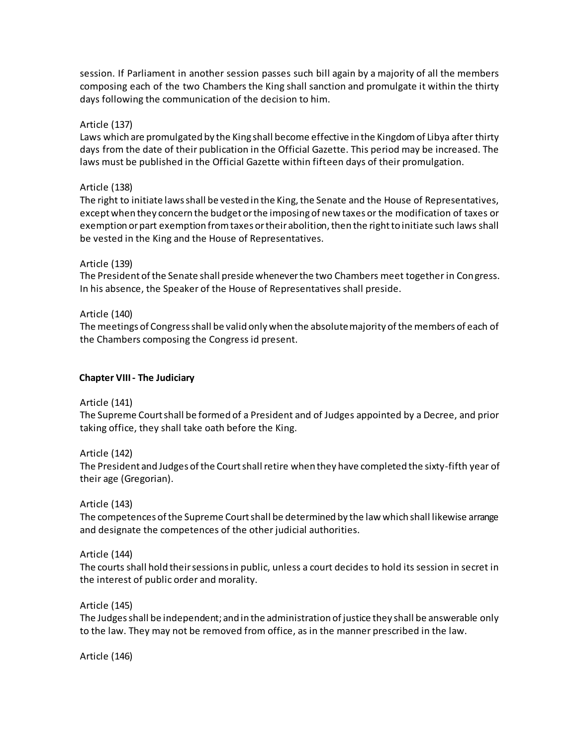session. If Parliament in another session passes such bill again by a majority of all the members composing each of the two Chambers the King shall sanction and promulgate it within the thirty days following the communication of the decision to him.

### Article (137)

Laws which are promulgated by the King shall become effective in the Kingdom of Libya after thirty days from the date of their publication in the Official Gazette. This period may be increased. The laws must be published in the Official Gazette within fifteen days of their promulgation.

### Article (138)

The right to initiate laws shall be vested in the King, the Senate and the House of Representatives, except when they concern the budget or the imposing of new taxes or the modification of taxes or exemption or part exemption from taxes or their abolition, then the right to initiate such laws shall be vested in the King and the House of Representatives.

## Article (139)

The President of the Senate shall preside whenever the two Chambers meet together in Congress. In his absence, the Speaker of the House of Representatives shall preside.

## Article (140)

The meetings of Congress shall be valid only when the absolute majority of the members of each of the Chambers composing the Congress id present.

## <span id="page-16-0"></span>**Chapter VIII - The Judiciary**

Article (141)

The Supreme Court shall be formed of a President and of Judges appointed by a Decree, and prior taking office, they shall take oath before the King.

Article (142)

The President and Judges of the Court shall retire when they have completed the sixty-fifth year of their age (Gregorian).

# Article (143)

The competences of the Supreme Court shall be determined by the law which shall likewise arrange and designate the competences of the other judicial authorities.

# Article (144)

The courts shall hold their sessions in public, unless a court decides to hold its session in secret in the interest of public order and morality.

#### Article (145)

The Judges shall be independent; and in the administration of justice they shall be answerable only to the law. They may not be removed from office, as in the manner prescribed in the law.

Article (146)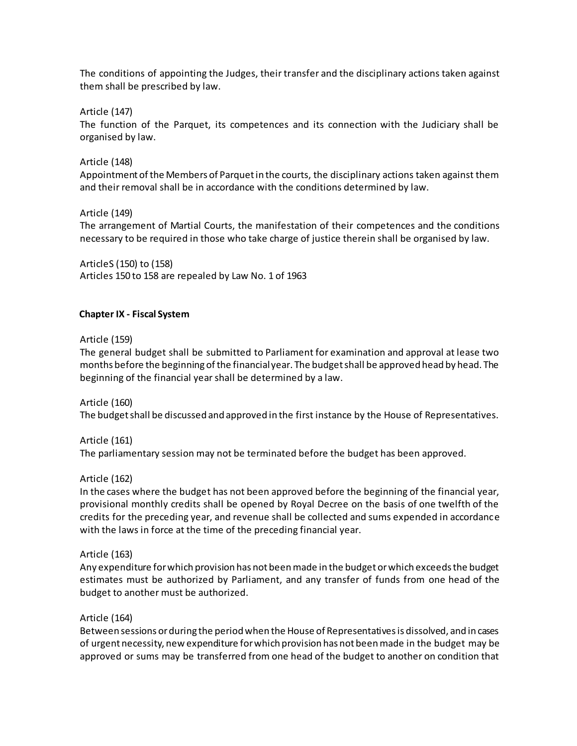The conditions of appointing the Judges, their transfer and the disciplinary actions taken against them shall be prescribed by law.

Article (147)

The function of the Parquet, its competences and its connection with the Judiciary shall be organised by law.

Article (148)

Appointment of the Members of Parquet in the courts, the disciplinary actions taken against them and their removal shall be in accordance with the conditions determined by law.

Article (149)

The arrangement of Martial Courts, the manifestation of their competences and the conditions necessary to be required in those who take charge of justice therein shall be organised by law.

ArticleS (150) to (158) Articles 150 to 158 are repealed by Law No. 1 of 1963

# <span id="page-17-0"></span>**Chapter IX - Fiscal System**

Article (159)

The general budget shall be submitted to Parliament for examination and approval at lease two months before the beginning of the financial year. The budget shall be approved head by head. The beginning of the financial year shall be determined by a law.

Article (160) The budget shall be discussed and approved in the first instance by the House of Representatives.

Article (161) The parliamentary session may not be terminated before the budget has been approved.

Article (162)

In the cases where the budget has not been approved before the beginning of the financial year, provisional monthly credits shall be opened by Royal Decree on the basis of one twelfth of the credits for the preceding year, and revenue shall be collected and sums expended in accordance with the laws in force at the time of the preceding financial year.

Article (163)

Any expenditure for which provision has not been made in the budget or which exceeds the budget estimates must be authorized by Parliament, and any transfer of funds from one head of the budget to another must be authorized.

#### Article (164)

Between sessions or during the period when the House of Representatives is dissolved, and in cases of urgent necessity, new expenditure for which provision has not been made in the budget may be approved or sums may be transferred from one head of the budget to another on condition that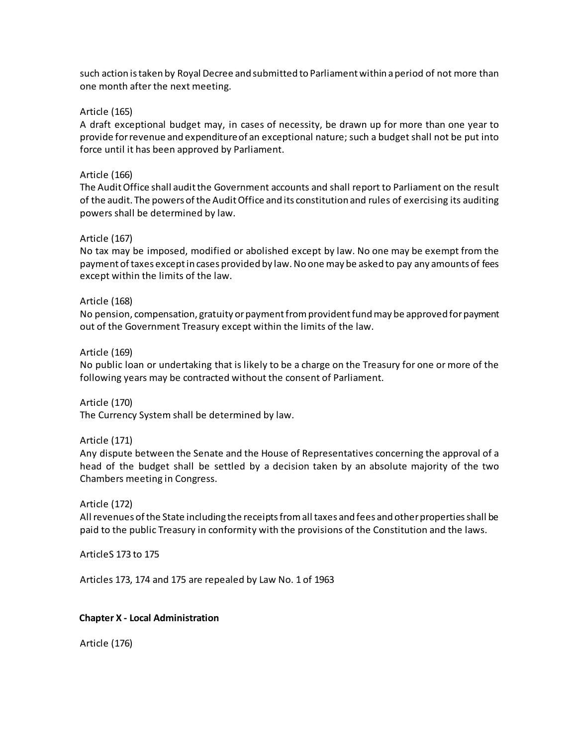such action is taken by Royal Decree and submitted to Parliament within a period of not more than one month after the next meeting.

### Article (165)

A draft exceptional budget may, in cases of necessity, be drawn up for more than one year to provide for revenue and expenditure of an exceptional nature; such a budget shall not be put into force until it has been approved by Parliament.

### Article (166)

The AuditOffice shall audit the Government accounts and shall report to Parliament on the result of the audit. The powers of the Audit Office and its constitution and rules of exercising its auditing powers shall be determined by law.

## Article (167)

No tax may be imposed, modified or abolished except by law. No one may be exempt from the payment of taxes except in cases provided by law. No one may be asked to pay any amounts of fees except within the limits of the law.

#### Article (168)

No pension, compensation, gratuity or payment from provident fund may be approved for payment out of the Government Treasury except within the limits of the law.

#### Article (169)

No public loan or undertaking that is likely to be a charge on the Treasury for one or more of the following years may be contracted without the consent of Parliament.

Article (170) The Currency System shall be determined by law.

#### Article (171)

Any dispute between the Senate and the House of Representatives concerning the approval of a head of the budget shall be settled by a decision taken by an absolute majority of the two Chambers meeting in Congress.

#### Article (172)

All revenues of the State including the receipts from all taxes and fees and other properties shall be paid to the public Treasury in conformity with the provisions of the Constitution and the laws.

ArticleS 173 to 175

Articles 173, 174 and 175 are repealed by Law No. 1 of 1963

#### <span id="page-18-0"></span>**Chapter X - Local Administration**

Article (176)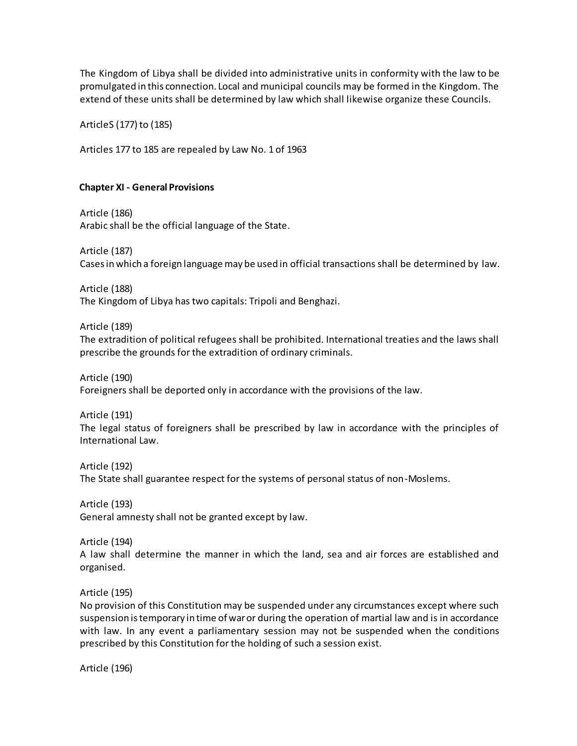The Kingdom of Libya shall be divided into administrative units in conformity with the law to be promulgated in this connection. Local and municipal councils may be formed in the Kingdom. The extend of these units shall be determined by law which shall likewise organize these Councils.

ArticleS (177) to (185)

Articles 177 to 185 are repealed by Law No. 1 of 1963

## <span id="page-19-0"></span>**Chapter XI - General Provisions**

Article (186) Arabic shall be the official language of the State.

Article (187) Cases in which a foreign language may be used in official transactions shall be determined by law.

Article (188) The Kingdom of Libya has two capitals: Tripoli and Benghazi.

Article (189)

The extradition of political refugees shall be prohibited. International treaties and the laws shall prescribe the grounds for the extradition of ordinary criminals.

Article (190)

Foreigners shall be deported only in accordance with the provisions of the law.

Article (191) The legal status of foreigners shall be prescribed by law in accordance with the principles of International Law.

Article (192) The State shall guarantee respect for the systems of personal status of non-Moslems.

Article (193) General amnesty shall not be granted except by law.

Article (194)

A law shall determine the manner in which the land, sea and air forces are established and organised.

Article (195)

No provision of this Constitution may be suspended under any circumstances except where such suspension is temporary in time of war or during the operation of martial law and is in accordance with law. In any event a parliamentary session may not be suspended when the conditions prescribed by this Constitution for the holding of such a session exist.

Article (196)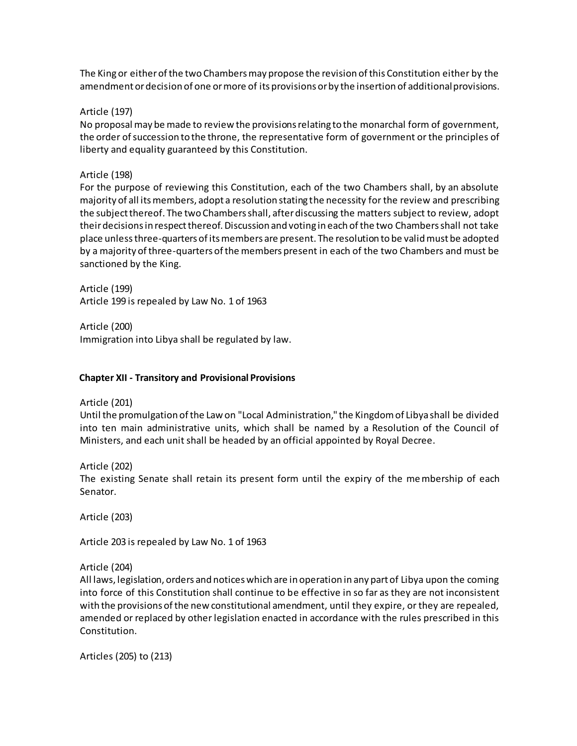The King or either of the two Chambers may propose the revision of this Constitution either by the amendment or decision of one or more of its provisions or by the insertion of additional provisions.

#### Article (197)

No proposal may be made to review the provisions relating to the monarchal form of government, the order of succession to the throne, the representative form of government or the principles of liberty and equality guaranteed by this Constitution.

### Article (198)

For the purpose of reviewing this Constitution, each of the two Chambers shall, by an absolute majority of all its members, adopt a resolution stating the necessity for the review and prescribing the subject thereof. The two Chambers shall, after discussing the matters subject to review, adopt their decisions in respect thereof. Discussion and voting in each of the two Chambers shall not take place unlessthree-quarters of its members are present. The resolution to be valid must be adopted by a majority of three-quarters of the members present in each of the two Chambers and must be sanctioned by the King.

Article (199) Article 199 is repealed by Law No. 1 of 1963

Article (200) Immigration into Libya shall be regulated by law.

## <span id="page-20-0"></span>**Chapter XII - Transitory and Provisional Provisions**

Article (201)

Until the promulgation of the Law on "Local Administration," the Kingdom of Libya shall be divided into ten main administrative units, which shall be named by a Resolution of the Council of Ministers, and each unit shall be headed by an official appointed by Royal Decree.

Article (202)

The existing Senate shall retain its present form until the expiry of the membership of each Senator.

Article (203)

Article 203 is repealed by Law No. 1 of 1963

Article (204)

All laws, legislation, orders and notices which are in operation in any part of Libya upon the coming into force of this Constitution shall continue to be effective in so far as they are not inconsistent with the provisions of the new constitutional amendment, until they expire, or they are repealed, amended or replaced by other legislation enacted in accordance with the rules prescribed in this Constitution.

Articles (205) to (213)